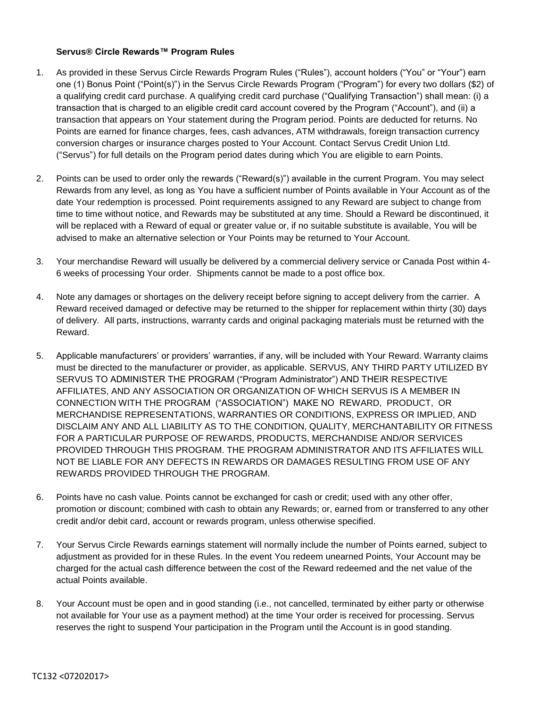## **Servus® Circle Rewards™ Program Rules**

- 1. As provided in these Servus Circle Rewards Program Rules ("Rules"), account holders ("You" or "Your") earn one (1) Bonus Point ("Point(s)") in the Servus Circle Rewards Program ("Program") for every two dollars (\$2) of a qualifying credit card purchase. A qualifying credit card purchase ("Qualifying Transaction") shall mean: (i) a transaction that is charged to an eligible credit card account covered by the Program ("Account"), and (ii) a transaction that appears on Your statement during the Program period. Points are deducted for returns. No Points are earned for finance charges, fees, cash advances, ATM withdrawals, foreign transaction currency conversion charges or insurance charges posted to Your Account. Contact Servus Credit Union Ltd. ("Servus") for full details on the Program period dates during which You are eligible to earn Points.
- 2. Points can be used to order only the rewards ("Reward(s)") available in the current Program. You may select Rewards from any level, as long as You have a sufficient number of Points available in Your Account as of the date Your redemption is processed. Point requirements assigned to any Reward are subject to change from time to time without notice, and Rewards may be substituted at any time. Should a Reward be discontinued, it will be replaced with a Reward of equal or greater value or, if no suitable substitute is available, You will be advised to make an alternative selection or Your Points may be returned to Your Account.
- 3. Your merchandise Reward will usually be delivered by a commercial delivery service or Canada Post within 4- 6 weeks of processing Your order. Shipments cannot be made to a post office box.
- 4. Note any damages or shortages on the delivery receipt before signing to accept delivery from the carrier. A Reward received damaged or defective may be returned to the shipper for replacement within thirty (30) days of delivery. All parts, instructions, warranty cards and original packaging materials must be returned with the Reward.
- 5. Applicable manufacturers' or providers' warranties, if any, will be included with Your Reward. Warranty claims must be directed to the manufacturer or provider, as applicable. SERVUS, ANY THIRD PARTY UTILIZED BY SERVUS TO ADMINISTER THE PROGRAM ("Program Administrator") AND THEIR RESPECTIVE AFFILIATES, AND ANY ASSOCIATION OR ORGANIZATION OF WHICH SERVUS IS A MEMBER IN CONNECTION WITH THE PROGRAM ("ASSOCIATION") MAKE NO REWARD, PRODUCT, OR MERCHANDISE REPRESENTATIONS, WARRANTIES OR CONDITIONS, EXPRESS OR IMPLIED, AND DISCLAIM ANY AND ALL LIABILITY AS TO THE CONDITION, QUALITY, MERCHANTABILITY OR FITNESS FOR A PARTICULAR PURPOSE OF REWARDS, PRODUCTS, MERCHANDISE AND/OR SERVICES PROVIDED THROUGH THIS PROGRAM. THE PROGRAM ADMINISTRATOR AND ITS AFFILIATES WILL NOT BE LIABLE FOR ANY DEFECTS IN REWARDS OR DAMAGES RESULTING FROM USE OF ANY REWARDS PROVIDED THROUGH THE PROGRAM.
- 6. Points have no cash value. Points cannot be exchanged for cash or credit; used with any other offer, promotion or discount; combined with cash to obtain any Rewards; or, earned from or transferred to any other credit and/or debit card, account or rewards program, unless otherwise specified.
- 7. Your Servus Circle Rewards earnings statement will normally include the number of Points earned, subject to adjustment as provided for in these Rules. In the event You redeem unearned Points, Your Account may be charged for the actual cash difference between the cost of the Reward redeemed and the net value of the actual Points available.
- 8. Your Account must be open and in good standing (i.e., not cancelled, terminated by either party or otherwise not available for Your use as a payment method) at the time Your order is received for processing. Servus reserves the right to suspend Your participation in the Program until the Account is in good standing.